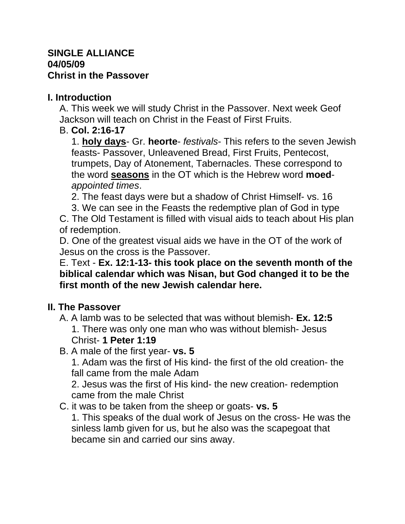#### **SINGLE ALLIANCE 04/05/09 Christ in the Passover**

# **I. Introduction**

A. This week we will study Christ in the Passover. Next week Geof Jackson will teach on Christ in the Feast of First Fruits.

# B. **Col. 2:16-17**

1. **holy days**- Gr. **heorte**- *festivals*- This refers to the seven Jewish feasts- Passover, Unleavened Bread, First Fruits, Pentecost, trumpets, Day of Atonement, Tabernacles. These correspond to the word **seasons** in the OT which is the Hebrew word **moed***appointed times*.

2. The feast days were but a shadow of Christ Himself- vs. 16

3. We can see in the Feasts the redemptive plan of God in type

C. The Old Testament is filled with visual aids to teach about His plan of redemption.

D. One of the greatest visual aids we have in the OT of the work of Jesus on the cross is the Passover.

### E. Text - **Ex. 12:1-13- this took place on the seventh month of the biblical calendar which was Nisan, but God changed it to be the first month of the new Jewish calendar here.**

### **II. The Passover**

- A. A lamb was to be selected that was without blemish- **Ex. 12:5** 1. There was only one man who was without blemish- Jesus Christ- **1 Peter 1:19**
- B. A male of the first year- **vs. 5**

1. Adam was the first of His kind- the first of the old creation- the fall came from the male Adam

2. Jesus was the first of His kind- the new creation- redemption came from the male Christ

C. it was to be taken from the sheep or goats- **vs. 5**

1. This speaks of the dual work of Jesus on the cross- He was the sinless lamb given for us, but he also was the scapegoat that became sin and carried our sins away.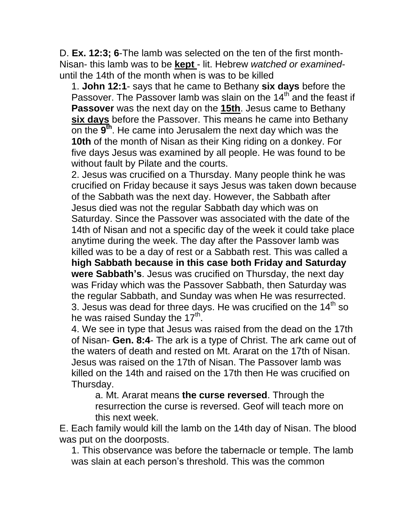D. **Ex. 12:3; 6**-The lamb was selected on the ten of the first month-Nisan- this lamb was to be **kept** - lit. Hebrew *watched or examined*until the 14th of the month when is was to be killed

1. **John 12:1**- says that he came to Bethany **six days** before the Passover. The Passover lamb was slain on the 14<sup>th</sup> and the feast if **Passover** was the next day on the **15th**. Jesus came to Bethany **six days** before the Passover. This means he came into Bethany on the **9 th** . He came into Jerusalem the next day which was the **10th** of the month of Nisan as their King riding on a donkey. For five days Jesus was examined by all people. He was found to be without fault by Pilate and the courts.

2. Jesus was crucified on a Thursday. Many people think he was crucified on Friday because it says Jesus was taken down because of the Sabbath was the next day. However, the Sabbath after Jesus died was not the regular Sabbath day which was on Saturday. Since the Passover was associated with the date of the 14th of Nisan and not a specific day of the week it could take place anytime during the week. The day after the Passover lamb was killed was to be a day of rest or a Sabbath rest. This was called a **high Sabbath because in this case both Friday and Saturday were Sabbath's**. Jesus was crucified on Thursday, the next day was Friday which was the Passover Sabbath, then Saturday was the regular Sabbath, and Sunday was when He was resurrected. 3. Jesus was dead for three days. He was crucified on the  $14<sup>th</sup>$  so he was raised Sunday the 17<sup>th</sup>.

4. We see in type that Jesus was raised from the dead on the 17th of Nisan- **Gen. 8:4**- The ark is a type of Christ. The ark came out of the waters of death and rested on Mt. Ararat on the 17th of Nisan. Jesus was raised on the 17th of Nisan. The Passover lamb was killed on the 14th and raised on the 17th then He was crucified on Thursday.

a. Mt. Ararat means **the curse reversed**. Through the resurrection the curse is reversed. Geof will teach more on this next week.

E. Each family would kill the lamb on the 14th day of Nisan. The blood was put on the doorposts.

1. This observance was before the tabernacle or temple. The lamb was slain at each person's threshold. This was the common